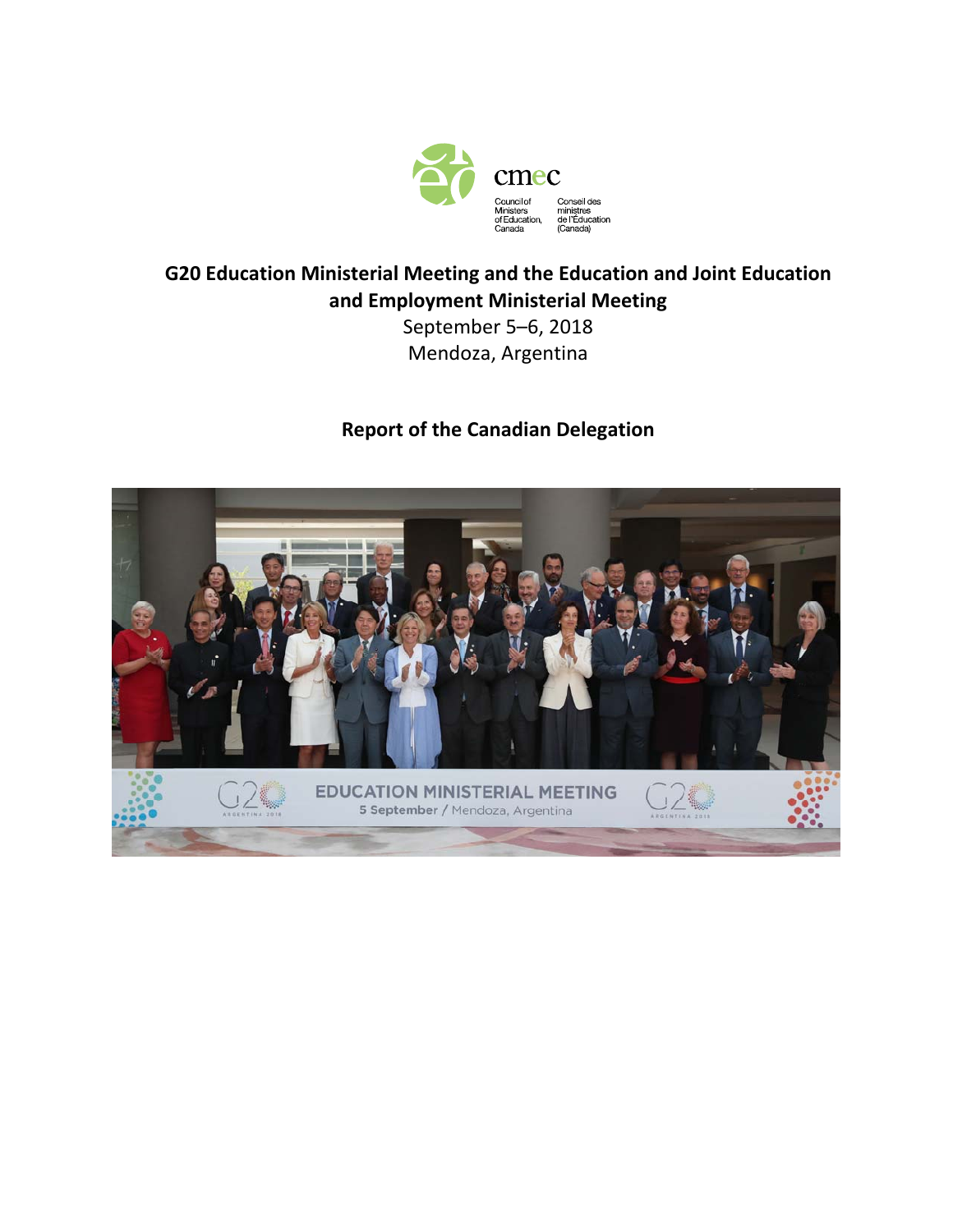

## **G20 Education Ministerial Meeting and the Education and Joint Education and Employment Ministerial Meeting**

September 5–6, 2018 Mendoza, Argentina

### **Report of the Canadian Delegation**

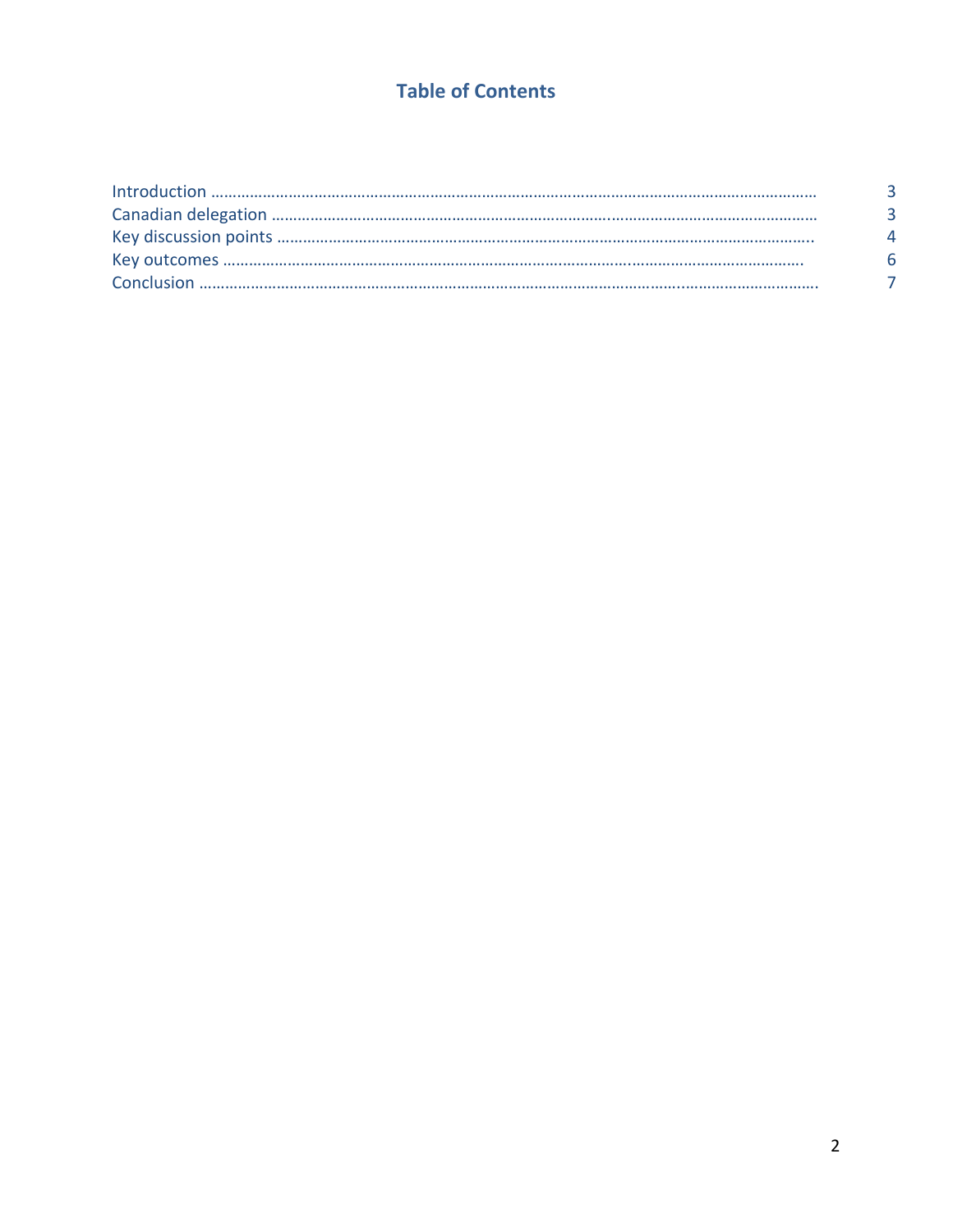# **Table of Contents**

| ୍ୟ |
|----|
|    |
|    |
|    |
|    |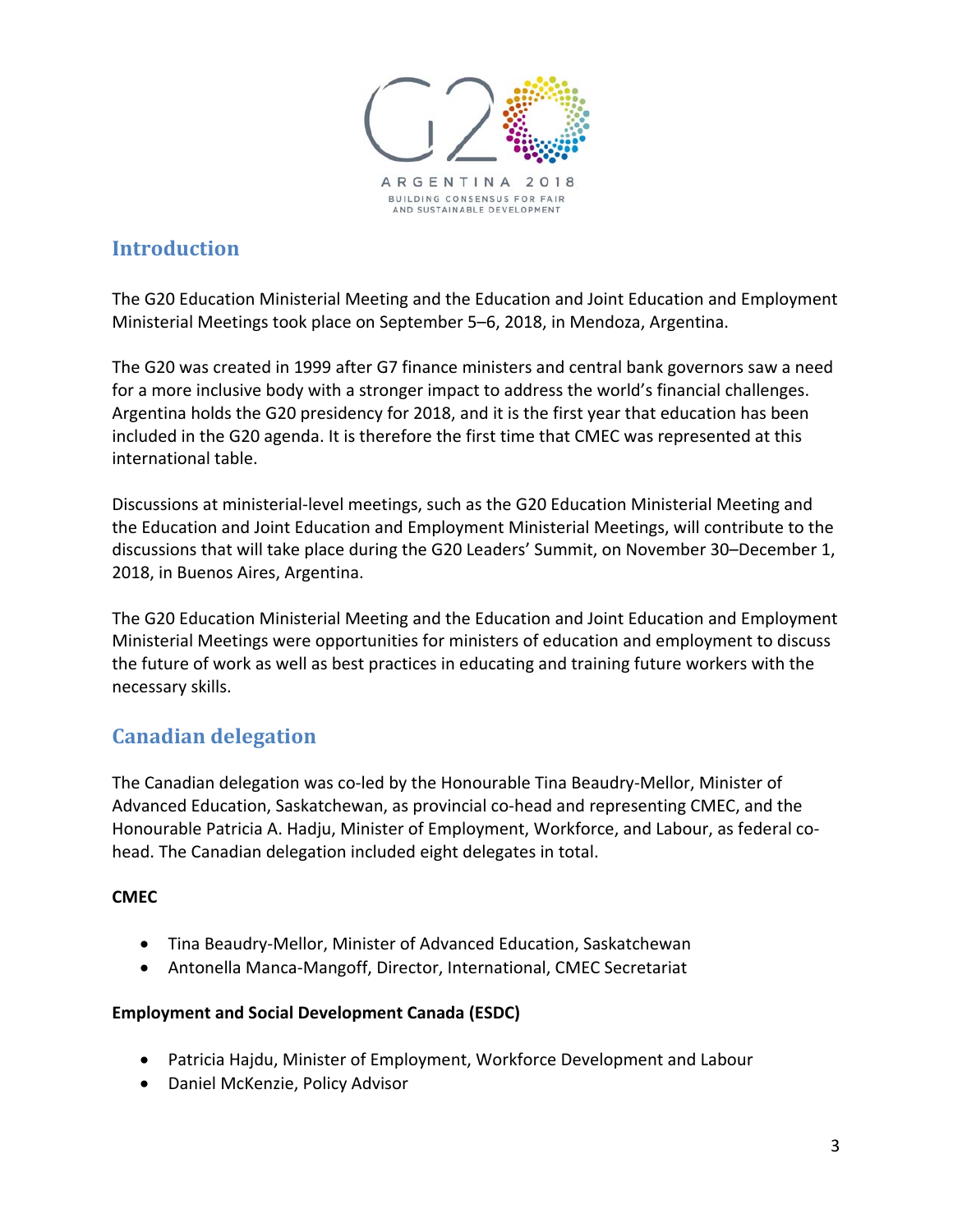

## **Introduction**

The G20 Education Ministerial Meeting and the Education and Joint Education and Employment Ministerial Meetings took place on September 5–6, 2018, in Mendoza, Argentina.

The G20 was created in 1999 after G7 finance ministers and central bank governors saw a need for a more inclusive body with a stronger impact to address the world's financial challenges. Argentina holds the G20 presidency for 2018, and it is the first year that education has been included in the G20 agenda. It is therefore the first time that CMEC was represented at this international table.

Discussions at ministerial‐level meetings, such as the G20 Education Ministerial Meeting and the Education and Joint Education and Employment Ministerial Meetings, will contribute to the discussions that will take place during the G20 Leaders' Summit, on November 30–December 1, 2018, in Buenos Aires, Argentina.

The G20 Education Ministerial Meeting and the Education and Joint Education and Employment Ministerial Meetings were opportunities for ministers of education and employment to discuss the future of work as well as best practices in educating and training future workers with the necessary skills.

# **Canadian delegation**

The Canadian delegation was co‐led by the Honourable Tina Beaudry‐Mellor, Minister of Advanced Education, Saskatchewan, as provincial co‐head and representing CMEC, and the Honourable Patricia A. Hadju, Minister of Employment, Workforce, and Labour, as federal co‐ head. The Canadian delegation included eight delegates in total.

### **CMEC**

- Tina Beaudry‐Mellor, Minister of Advanced Education, Saskatchewan
- Antonella Manca-Mangoff, Director, International, CMEC Secretariat

### **Employment and Social Development Canada (ESDC)**

- Patricia Hajdu, Minister of Employment, Workforce Development and Labour
- Daniel McKenzie, Policy Advisor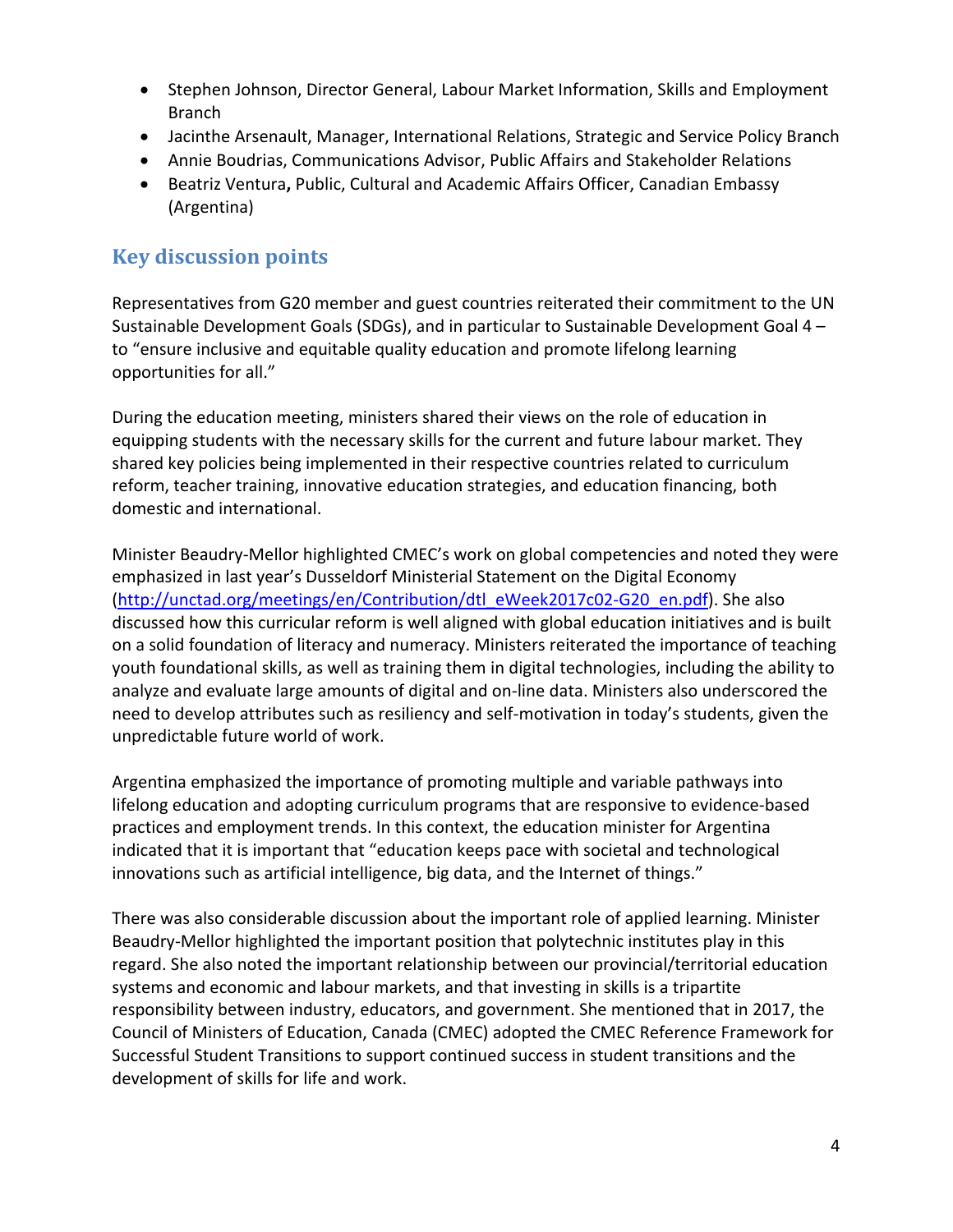- Stephen Johnson, Director General, Labour Market Information, Skills and Employment Branch
- Jacinthe Arsenault, Manager, International Relations, Strategic and Service Policy Branch
- Annie Boudrias, Communications Advisor, Public Affairs and Stakeholder Relations
- Beatriz Ventura**,** Public, Cultural and Academic Affairs Officer, Canadian Embassy (Argentina)

## **Key discussion points**

Representatives from G20 member and guest countries reiterated their commitment to the UN Sustainable Development Goals (SDGs), and in particular to Sustainable Development Goal 4 – to "ensure inclusive and equitable quality education and promote lifelong learning opportunities for all."

During the education meeting, ministers shared their views on the role of education in equipping students with the necessary skills for the current and future labour market. They shared key policies being implemented in their respective countries related to curriculum reform, teacher training, innovative education strategies, and education financing, both domestic and international.

Minister Beaudry‐Mellor highlighted CMEC's work on global competencies and noted they were emphasized in last year's Dusseldorf Ministerial Statement on the Digital Economy (http://unctad.org/meetings/en/Contribution/dtl\_eWeek2017c02‐G20\_en.pdf). She also discussed how this curricular reform is well aligned with global education initiatives and is built on a solid foundation of literacy and numeracy. Ministers reiterated the importance of teaching youth foundational skills, as well as training them in digital technologies, including the ability to analyze and evaluate large amounts of digital and on‐line data. Ministers also underscored the need to develop attributes such as resiliency and self‐motivation in today's students, given the unpredictable future world of work.

Argentina emphasized the importance of promoting multiple and variable pathways into lifelong education and adopting curriculum programs that are responsive to evidence‐based practices and employment trends. In this context, the education minister for Argentina indicated that it is important that "education keeps pace with societal and technological innovations such as artificial intelligence, big data, and the Internet of things."

There was also considerable discussion about the important role of applied learning. Minister Beaudry‐Mellor highlighted the important position that polytechnic institutes play in this regard. She also noted the important relationship between our provincial/territorial education systems and economic and labour markets, and that investing in skills is a tripartite responsibility between industry, educators, and government. She mentioned that in 2017, the Council of Ministers of Education, Canada (CMEC) adopted the CMEC Reference Framework for Successful Student Transitions to support continued success in student transitions and the development of skills for life and work.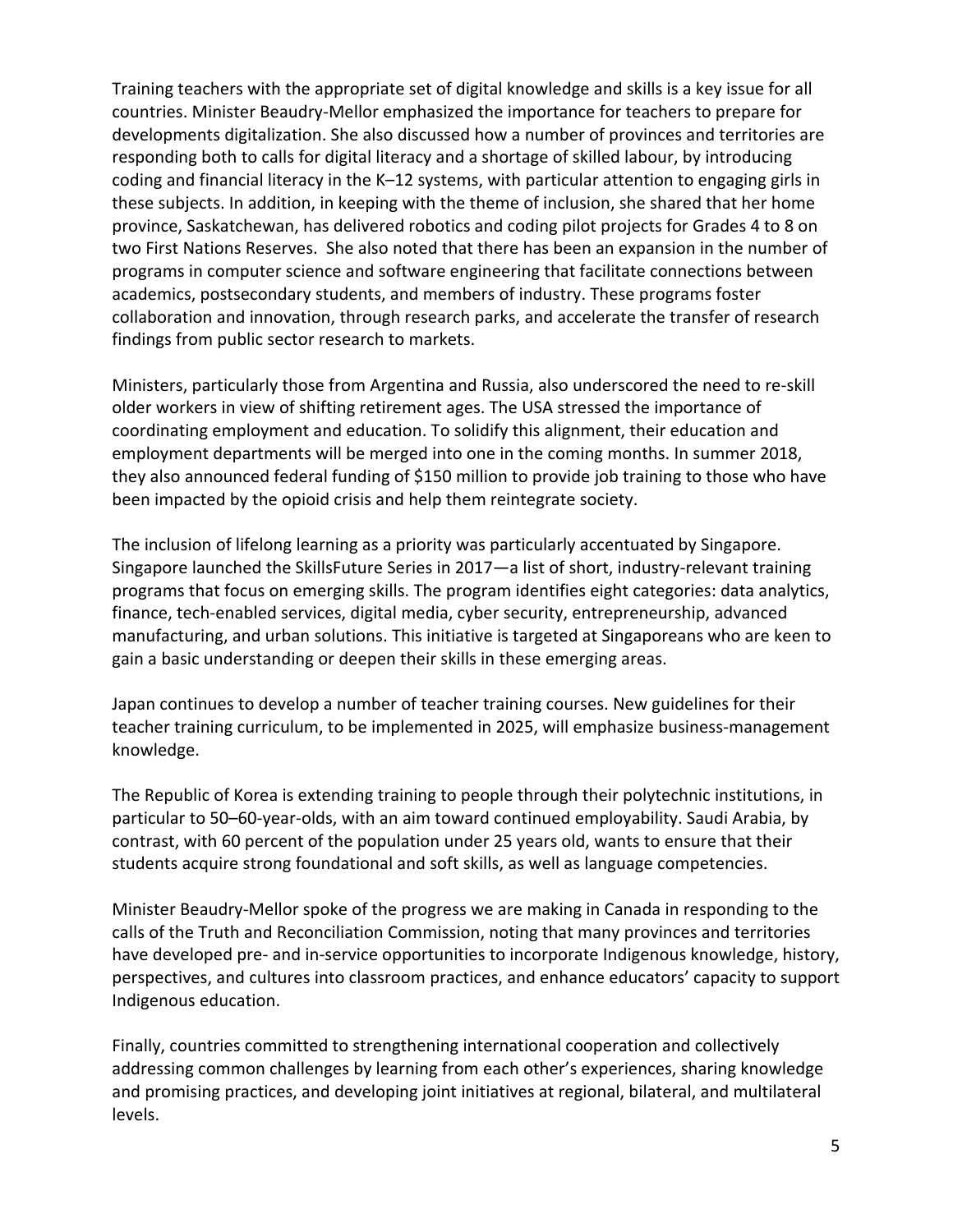Training teachers with the appropriate set of digital knowledge and skills is a key issue for all countries. Minister Beaudry‐Mellor emphasized the importance for teachers to prepare for developments digitalization. She also discussed how a number of provinces and territories are responding both to calls for digital literacy and a shortage of skilled labour, by introducing coding and financial literacy in the K–12 systems, with particular attention to engaging girls in these subjects. In addition, in keeping with the theme of inclusion, she shared that her home province, Saskatchewan, has delivered robotics and coding pilot projects for Grades 4 to 8 on two First Nations Reserves. She also noted that there has been an expansion in the number of programs in computer science and software engineering that facilitate connections between academics, postsecondary students, and members of industry. These programs foster collaboration and innovation, through research parks, and accelerate the transfer of research findings from public sector research to markets.

Ministers, particularly those from Argentina and Russia, also underscored the need to re‐skill older workers in view of shifting retirement ages. The USA stressed the importance of coordinating employment and education. To solidify this alignment, their education and employment departments will be merged into one in the coming months. In summer 2018, they also announced federal funding of \$150 million to provide job training to those who have been impacted by the opioid crisis and help them reintegrate society.

The inclusion of lifelong learning as a priority was particularly accentuated by Singapore. Singapore launched the SkillsFuture Series in 2017—a list of short, industry‐relevant training programs that focus on emerging skills. The program identifies eight categories: data analytics, finance, tech-enabled services, digital media, cyber security, entrepreneurship, advanced manufacturing, and urban solutions. This initiative is targeted at Singaporeans who are keen to gain a basic understanding or deepen their skills in these emerging areas.

Japan continues to develop a number of teacher training courses. New guidelines for their teacher training curriculum, to be implemented in 2025, will emphasize business-management knowledge.

The Republic of Korea is extending training to people through their polytechnic institutions, in particular to 50–60‐year‐olds, with an aim toward continued employability. Saudi Arabia, by contrast, with 60 percent of the population under 25 years old, wants to ensure that their students acquire strong foundational and soft skills, as well as language competencies.

Minister Beaudry‐Mellor spoke of the progress we are making in Canada in responding to the calls of the Truth and Reconciliation Commission, noting that many provinces and territories have developed pre- and in-service opportunities to incorporate Indigenous knowledge, history, perspectives, and cultures into classroom practices, and enhance educators' capacity to support Indigenous education.

Finally, countries committed to strengthening international cooperation and collectively addressing common challenges by learning from each other's experiences, sharing knowledge and promising practices, and developing joint initiatives at regional, bilateral, and multilateral levels.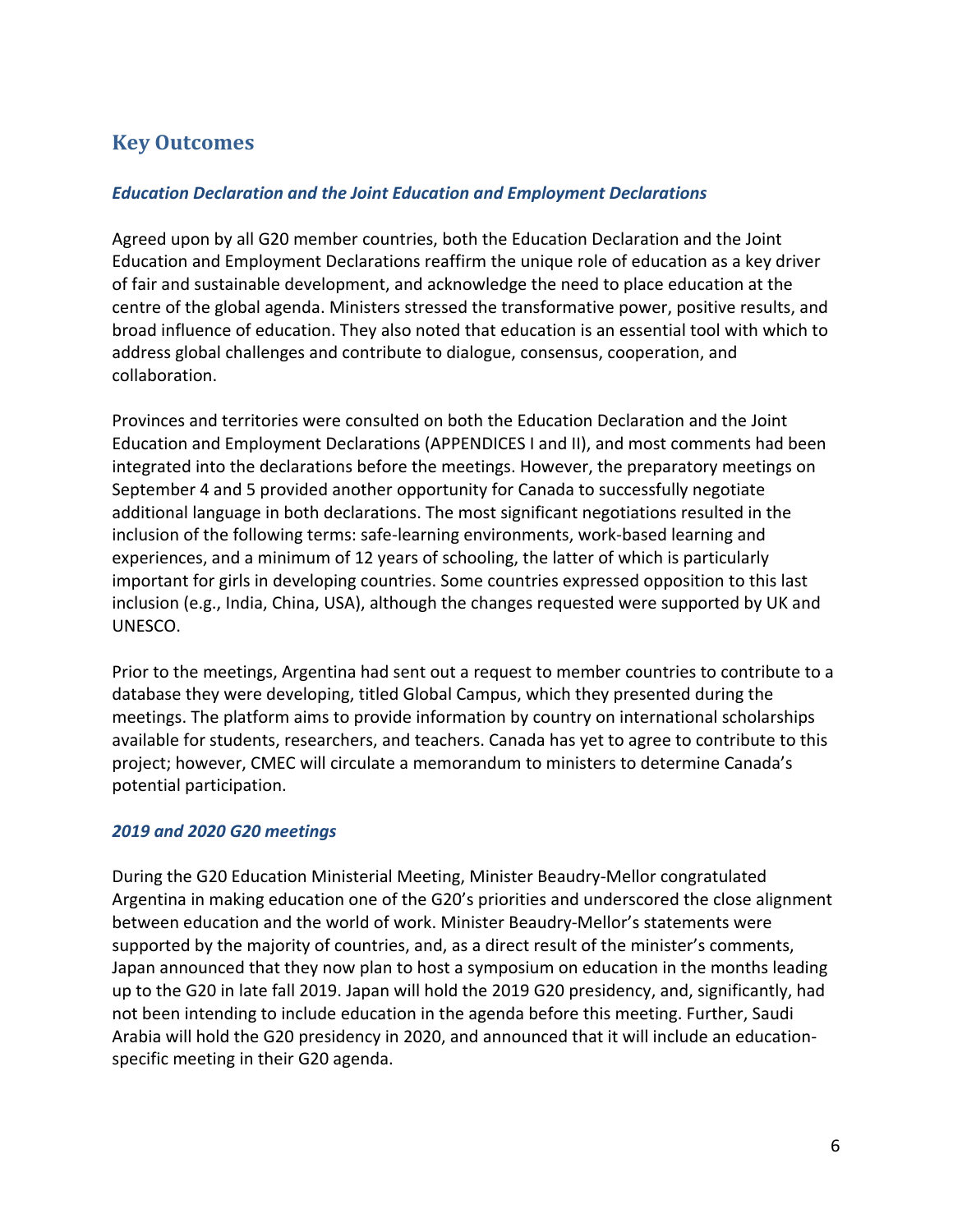## **Key Outcomes**

#### *Education Declaration and the Joint Education and Employment Declarations*

Agreed upon by all G20 member countries, both the Education Declaration and the Joint Education and Employment Declarations reaffirm the unique role of education as a key driver of fair and sustainable development, and acknowledge the need to place education at the centre of the global agenda. Ministers stressed the transformative power, positive results, and broad influence of education. They also noted that education is an essential tool with which to address global challenges and contribute to dialogue, consensus, cooperation, and collaboration.

Provinces and territories were consulted on both the Education Declaration and the Joint Education and Employment Declarations (APPENDICES I and II), and most comments had been integrated into the declarations before the meetings. However, the preparatory meetings on September 4 and 5 provided another opportunity for Canada to successfully negotiate additional language in both declarations. The most significant negotiations resulted in the inclusion of the following terms: safe‐learning environments, work‐based learning and experiences, and a minimum of 12 years of schooling, the latter of which is particularly important for girls in developing countries. Some countries expressed opposition to this last inclusion (e.g., India, China, USA), although the changes requested were supported by UK and UNESCO.

Prior to the meetings, Argentina had sent out a request to member countries to contribute to a database they were developing, titled Global Campus, which they presented during the meetings. The platform aims to provide information by country on international scholarships available for students, researchers, and teachers. Canada has yet to agree to contribute to this project; however, CMEC will circulate a memorandum to ministers to determine Canada's potential participation.

#### *2019 and 2020 G20 meetings*

During the G20 Education Ministerial Meeting, Minister Beaudry‐Mellor congratulated Argentina in making education one of the G20's priorities and underscored the close alignment between education and the world of work. Minister Beaudry‐Mellor's statements were supported by the majority of countries, and, as a direct result of the minister's comments, Japan announced that they now plan to host a symposium on education in the months leading up to the G20 in late fall 2019. Japan will hold the 2019 G20 presidency, and, significantly, had not been intending to include education in the agenda before this meeting. Further, Saudi Arabia will hold the G20 presidency in 2020, and announced that it will include an education‐ specific meeting in their G20 agenda.